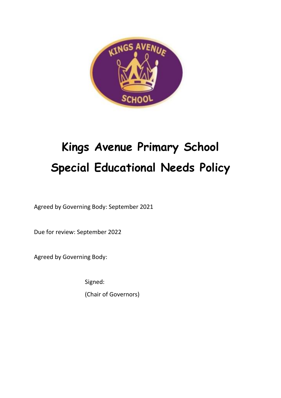

# **Kings Avenue Primary School Special Educational Needs Policy**

Agreed by Governing Body: September 2021

Due for review: September 2022

Agreed by Governing Body:

Signed:

(Chair of Governors)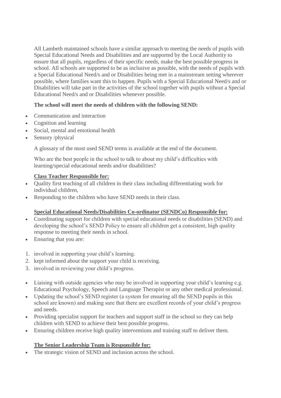All Lambeth maintained schools have a similar approach to meeting the needs of pupils with Special Educational Needs and Disabilities and are supported by the Local Authority to ensure that all pupils, regardless of their specific needs, make the best possible progress in school. All schools are supported to be as inclusive as possible, with the needs of pupils with a Special Educational Need/s and or Disabilities being met in a mainstream setting wherever possible, where families want this to happen. Pupils with a Special Educational Need/s and or Disabilities will take part in the activities of the school together with pupils without a Special Educational Need/s and or Disabilities whenever possible.

## **The school will meet the needs of children with the following SEND:**

- Communication and interaction
- Cognition and learning
- Social, mental and emotional health
- Sensory /physical

A glossary of the most used SEND terms is available at the end of the document.

Who are the best people in the school to talk to about my child's difficulties with learning/special educational needs and/or disabilities?

## **Class Teacher Responsible for:**

- Quality first teaching of all children in their class including differentiating work for individual children,
- Responding to the children who have SEND needs in their class.

## **Special Educational Needs/Disabilities Co-ordinator (SENDCo) Responsible for:**

- Coordinating support for children with special educational needs or disabilities (SEND) and developing the school's SEND Policy to ensure all children get a consistent, high quality response to meeting their needs in school.
- Ensuring that you are:
- 1. involved in supporting your child's learning.
- 2. kept informed about the support your child is receiving.
- 3. involved in reviewing your child's progress.
- Liaising with outside agencies who may be involved in supporting your child's learning e.g. Educational Psychology, Speech and Language Therapist or any other medical professional.
- Updating the school's SEND register (a system for ensuring all the SEND pupils in this school are known) and making sure that there are excellent records of your child's progress and needs.
- Providing specialist support for teachers and support staff in the school so they can help children with SEND to achieve their best possible progress.
- Ensuring children receive high quality interventions and training staff to deliver them.

## **The Senior Leadership Team is Responsible for:**

The strategic vision of SEND and inclusion across the school.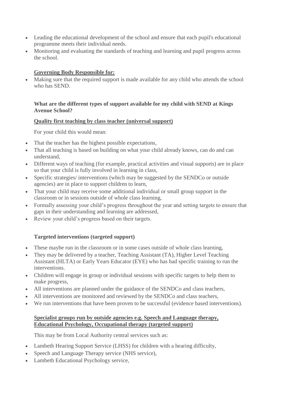- Leading the educational development of the school and ensure that each pupil's educational programme meets their individual needs.
- Monitoring and evaluating the standards of teaching and learning and pupil progress across the school.

## **Governing Body Responsible for:**

• Making sure that the required support is made available for any child who attends the school who has SEND.

#### **What are the different types of support available for my child with SEND at Kings Avenue School?**

#### **Quality first teaching by class teacher (universal support)**

For your child this would mean:

- That the teacher has the highest possible expectations,
- That all teaching is based on building on what your child already knows, can do and can understand,
- Different ways of teaching (for example, practical activities and visual supports) are in place so that your child is fully involved in learning in class,
- Specific strategies/ interventions (which may be suggested by the SENDCo or outside agencies) are in place to support children to learn,
- That your child may receive some additional individual or small group support in the classroom or in sessions outside of whole class learning,
- Formally assessing your child's progress throughout the year and setting targets to ensure that gaps in their understanding and learning are addressed,
- Review your child's progress based on their targets.

## **Targeted interventions (targeted support)**

- These maybe run in the classroom or in some cases outside of whole class learning,
- They may be delivered by a teacher, Teaching Assistant (TA), Higher Level Teaching Assistant (HLTA) or Early Years Educator (EYE) who has had specific training to run the interventions.
- Children will engage in group or individual sessions with specific targets to help them to make progress,
- All interventions are planned under the guidance of the SENDCo and class teachers,
- All interventions are monitored and reviewed by the SENDCo and class teachers,
- We run interventions that have been proven to be successful (evidence based interventions).

## **Specialist groups run by outside agencies e.g. Speech and Language therapy, Educational Psychology, Occupational therapy (targeted support)**

This may be from Local Authority central services such as:

- Lambeth Hearing Support Service (LHSS) for children with a hearing difficulty,
- Speech and Language Therapy service (NHS service),
- Lambeth Educational Psychology service,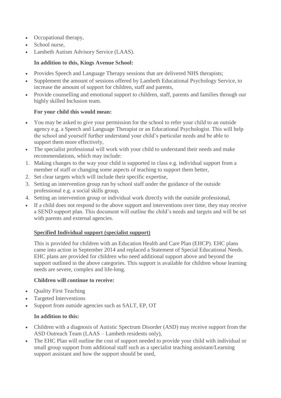- Occupational therapy,
- School nurse,
- Lambeth Autism Advisory Service (LAAS).

## **In addition to this, Kings Avenue School:**

- Provides Speech and Language Therapy sessions that are delivered NHS therapists;
- Supplement the amount of sessions offered by Lambeth Educational Psychology Service, to increase the amount of support for children, staff and parents,
- Provide counselling and emotional support to children, staff, parents and families through our highly skilled Inclusion team.

## **For your child this would mean:**

- You may be asked to give your permission for the school to refer your child to an outside agency e.g. a Speech and Language Therapist or an Educational Psychologist. This will help the school and yourself further understand your child's particular needs and be able to support them more effectively,
- The specialist professional will work with your child to understand their needs and make recommendations, which may include:
- 1. Making changes to the way your child is supported in class e.g. individual support from a member of staff or changing some aspects of teaching to support them better,
- 2. Set clear targets which will include their specific expertise,
- 3. Setting an intervention group run by school staff under the guidance of the outside professional e.g. a social skills group,
- 4. Setting an intervention group or individual work directly with the outside professional,
- If a child does not respond to the above support and interventions over time, they may receive a SEND support plan. This document will outline the child's needs and targets and will be set with parents and external agencies.

#### **Specified Individual support (specialist support)**

This is provided for children with an Education Health and Care Plan (EHCP). EHC plans came into action in September 2014 and replaced a Statement of Special Educational Needs. EHC plans are provided for children who need additional support above and beyond the support outlined in the above categories. This support is available for children whose learning needs are severe, complex and life-long.

#### **Children will continue to receive:**

- Quality First Teaching
- Targeted Interventions
- Support from outside agencies such as SALT, EP, OT

#### **In addition to this:**

- Children with a diagnosis of Autistic Spectrum Disorder (ASD) may receive support from the ASD Outreach Team (LAAS – Lambeth residents only),
- The EHC Plan will outline the cost of support needed to provide your child with individual or small group support from additional staff such as a specialist teaching assistant/Learning support assistant and how the support should be used,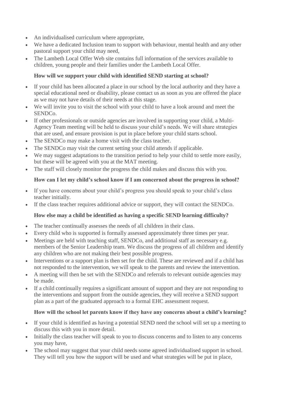- An individualised curriculum where appropriate,
- We have a dedicated Inclusion team to support with behaviour, mental health and any other pastoral support your child may need,
- The Lambeth Local Offer Web site contains full information of the services available to children, young people and their families under the Lambeth Local Offer.

# **How will we support your child with identified SEND starting at school?**

- If your child has been allocated a place in our school by the local authority and they have a special educational need or disability, please contact us as soon as you are offered the place as we may not have details of their needs at this stage.
- We will invite you to visit the school with your child to have a look around and meet the SENDCo.
- If other professionals or outside agencies are involved in supporting your child, a Multi-Agency Team meeting will be held to discuss your child's needs. We will share strategies that are used, and ensure provision is put in place before your child starts school.
- The SENDCo may make a home visit with the class teacher.
- The SENDCo may visit the current setting your child attends if applicable.
- We may suggest adaptations to the transition period to help your child to settle more easily, but these will be agreed with you at the MAT meeting.
- The staff will closely monitor the progress the child makes and discuss this with you.

# **How can I let my child's school know if I am concerned about the progress in school?**

- If you have concerns about your child's progress you should speak to your child's class teacher initially.
- If the class teacher requires additional advice or support, they will contact the SENDCo.

# **How else may a child be identified as having a specific SEND learning difficulty?**

- The teacher continually assesses the needs of all children in their class.
- Every child who is supported is formally assessed approximately three times per year.
- Meetings are held with teaching staff, SENDCo, and additional staff as necessary e.g. members of the Senior Leadership team. We discuss the progress of all children and identify any children who are not making their best possible progress.
- Interventions or a support plan is then set for the child. These are reviewed and if a child has not responded to the intervention, we will speak to the parents and review the intervention.
- A meeting will then be set with the SENDCo and referrals to relevant outside agencies may be made.
- If a child continually requires a significant amount of support and they are not responding to the interventions and support from the outside agencies, they will receive a SEND support plan as a part of the graduated approach to a formal EHC assessment request.

# **How will the school let parents know if they have any concerns about a child's learning?**

- If your child is identified as having a potential SEND need the school will set up a meeting to discuss this with you in more detail.
- Initially the class teacher will speak to you to discuss concerns and to listen to any concerns you may have,
- The school may suggest that your child needs some agreed individualised support in school. They will tell you how the support will be used and what strategies will be put in place,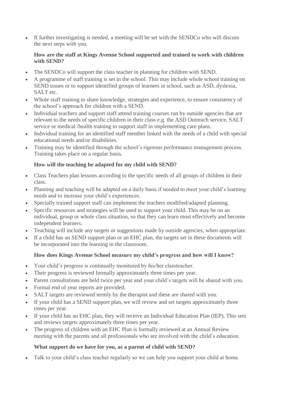• If further investigating is needed, a meeting will be set with the SENDCo who will discuss the next steps with you.

## **How are the staff at Kings Avenue School supported and trained to work with children with SEND?**

- The SENDCo will support the class teacher in planning for children with SEND.
- A programme of staff training is set in the school. This may include whole school training on SEND issues or to support identified groups of learners in school, such as ASD, dyslexia, SALT etc.
- Whole staff training to share knowledge, strategies and experience, to ensure consistency of the school's approach for children with a SEND.
- Individual teachers and support staff attend training courses run by outside agencies that are relevant to the needs of specific children in their class e.g. the ASD Outreach service, SALT service or medical /health training to support staff in implementing care plans.
- Individual training for an identified staff member linked with the needs of a child with special educational needs and/or disabilities.
- Training may be identified through the school's rigorous performance management process. Training takes place on a regular basis.

# **How will the teaching be adapted for my child with SEND?**

- Class Teachers plan lessons according to the specific needs of all groups of children in their class.
- Planning and teaching will be adapted on a daily basis if needed to meet your child's learning needs and to increase your child's experiences.
- Specially trained support staff can implement the teachers modified/adapted planning.
- Specific resources and strategies will be used to support your child. This may be on an individual, group or whole class situation, so that they can learn most effectively and become independent learners.
- Teaching will include any targets or suggestions made by outside agencies, when appropriate.
- If a child has an SEND support plan or an EHC plan, the targets set in these documents will be incorporated into the learning in the classroom.

# **How does Kings Avenue School measure my child's progress and how will I know?**

- Your child's progress is continually monitored by his/her classteacher.
- Their progress is reviewed formally approximately three times per year.
- Parent consultations are held twice per year and your child's targets will be shared with you.
- Formal end of year reports are provided.
- SALT targets are reviewed termly by the therapist and these are shared with you.
- If your child has a SEND support plan, we will review and set targets approximately three times per year.
- If your child has an EHC plan, they will receive an Individual Education Plan (IEP). This sets and reviews targets approximately three times per year.
- The progress of children with an EHC Plan is formally reviewed at an Annual Review meeting with the parents and all professionals who are involved with the child's education.

# **What support do we have for you, as a parent of child with SEND?**

Talk to your child's class teacher regularly so we can help you support your child at home.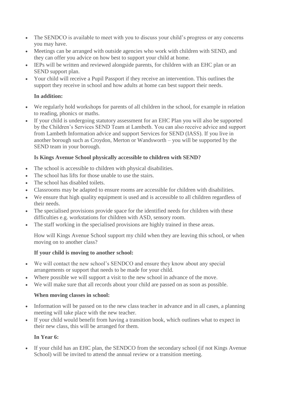- The SENDCO is available to meet with you to discuss your child's progress or any concerns you may have.
- Meetings can be arranged with outside agencies who work with children with SEND, and they can offer you advice on how best to support your child at home.
- IEPs will be written and reviewed alongside parents, for children with an EHC plan or an SEND support plan.
- Your child will receive a Pupil Passport if they receive an intervention. This outlines the support they receive in school and how adults at home can best support their needs.

# **In addition:**

- We regularly hold workshops for parents of all children in the school, for example in relation to reading, phonics or maths.
- If your child is undergoing statutory assessment for an EHC Plan you will also be supported by the Children's Services SEND Team at Lambeth. You can also receive advice and support from Lambeth Information advice and support Services for SEND (IASS). If you live in another borough such as Croydon, Merton or Wandsworth – you will be supported by the SEND team in your borough.

## **Is Kings Avenue School physically accessible to children with SEND?**

- The school is accessible to children with physical disabilities.
- The school has lifts for those unable to use the stairs.
- The school has disabled toilets.
- Classrooms may be adapted to ensure rooms are accessible for children with disabilities.
- We ensure that high quality equipment is used and is accessible to all children regardless of their needs.
- The specialised provisions provide space for the identified needs for children with these difficulties e.g. workstations for children with ASD, sensory room.
- The staff working in the specialised provisions are highly trained in these areas.

How will Kings Avenue School support my child when they are leaving this school, or when moving on to another class?

## **If your child is moving to another school:**

- We will contact the new school's SENDCO and ensure they know about any special arrangements or support that needs to be made for your child.
- Where possible we will support a visit to the new school in advance of the move.
- We will make sure that all records about your child are passed on as soon as possible.

# **When moving classes in school:**

- Information will be passed on to the new class teacher in advance and in all cases, a planning meeting will take place with the new teacher.
- If your child would benefit from having a transition book, which outlines what to expect in their new class, this will be arranged for them.

# **In Year 6:**

• If your child has an EHC plan, the SENDCO from the secondary school (if not Kings Avenue School) will be invited to attend the annual review or a transition meeting.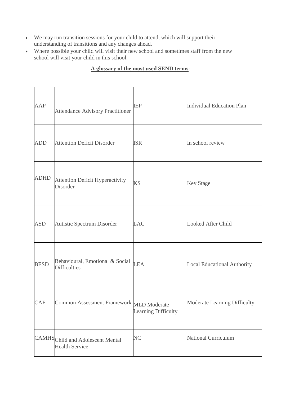- We may run transition sessions for your child to attend, which will support their understanding of transitions and any changes ahead.
- Where possible your child will visit their new school and sometimes staff from the new school will visit your child in this school.

| AAP         | <b>Attendance Advisory Practitioner</b>                    | <b>IEP</b>          | <b>Individual Education Plan</b>   |
|-------------|------------------------------------------------------------|---------------------|------------------------------------|
| <b>ADD</b>  | <b>Attention Deficit Disorder</b>                          | <b>ISR</b>          | In school review                   |
| <b>ADHD</b> | <b>Attention Deficit Hyperactivity</b><br><b>Disorder</b>  | <b>KS</b>           | <b>Key Stage</b>                   |
| <b>ASD</b>  | Autistic Spectrum Disorder                                 | <b>LAC</b>          | <b>Looked After Child</b>          |
| <b>BESD</b> | Behavioural, Emotional & Social<br><b>Difficulties</b>     | <b>LEA</b>          | <b>Local Educational Authority</b> |
| <b>CAF</b>  | Common Assessment Framework MLD Moderate                   | Learning Difficulty | Moderate Learning Difficulty       |
|             | CAMHS Child and Adolescent Mental<br><b>Health Service</b> | N <sub>C</sub>      | <b>National Curriculum</b>         |

# **A glossary of the most used SEND terms**: